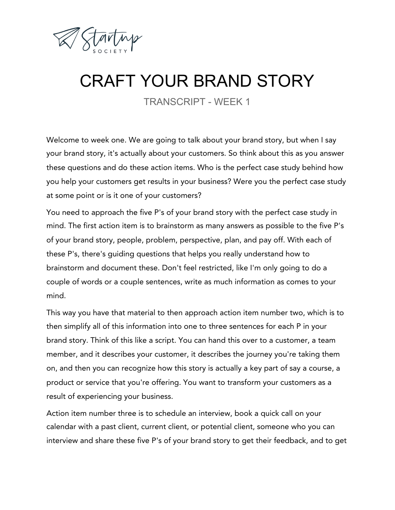

## CRAFT YOUR BRAND STORY

TRANSCRIPT - WEEK 1

Welcome to week one. We are going to talk about your brand story, but when I say your brand story, it's actually about your customers. So think about this as you answer these questions and do these action items. Who is the perfect case study behind how you help your customers get results in your business? Were you the perfect case study at some point or is it one of your customers?

You need to approach the five P's of your brand story with the perfect case study in mind. The first action item is to brainstorm as many answers as possible to the five P's of your brand story, people, problem, perspective, plan, and pay off. With each of these P's, there's guiding questions that helps you really understand how to brainstorm and document these. Don't feel restricted, like I'm only going to do a couple of words or a couple sentences, write as much information as comes to your mind.

This way you have that material to then approach action item number two, which is to then simplify all of this information into one to three sentences for each P in your brand story. Think of this like a script. You can hand this over to a customer, a team member, and it describes your customer, it describes the journey you're taking them on, and then you can recognize how this story is actually a key part of say a course, a product or service that you're offering. You want to transform your customers as a result of experiencing your business.

Action item number three is to schedule an interview, book a quick call on your calendar with a past client, current client, or potential client, someone who you can interview and share these five P's of your brand story to get their feedback, and to get